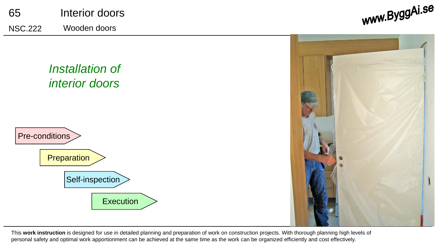

### *Installation of interior doors*





This **work instruction** is designed for use in detailed planning and preparation of work on construction projects. With thorough planning high levels of personal safety and optimal work apportionment can be achieved at the same time as the work can be organized efficiently and cost effectively.

www.ByggAi.se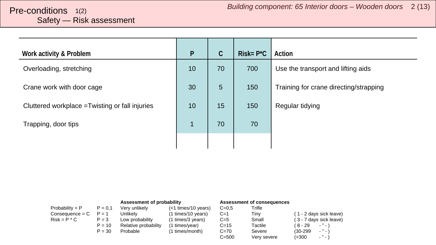# <span id="page-1-0"></span>Safety — Risk assessment

| Work activity & Problem                         | $\mathsf{P}$   | $\mathsf C$ | $Risk = P^*C$ | Action                                 |
|-------------------------------------------------|----------------|-------------|---------------|----------------------------------------|
| Overloading, stretching                         | 10             | 70          | 700           | Use the transport and lifting aids     |
| Crane work with door cage                       | 30             | 5           | 150           | Training for crane directing/strapping |
| Cluttered workplace = Twisting or fall injuries | 10             | 15          | 150           | Regular tidying                        |
| Trapping, door tips                             | $\overline{1}$ | 70          | 70            |                                        |
|                                                 |                |             |               |                                        |

|                   |           | Assessment of probability |                       | Assessment of consequences |             |                               |
|-------------------|-----------|---------------------------|-----------------------|----------------------------|-------------|-------------------------------|
| Probability = $P$ | $P = 0.1$ | Verv unlikelv             | $(<1$ times/10 years) | $C=0.5$                    | Trifle      |                               |
| $Consequence = C$ | $P = 1$   | Unlikelv                  | (1 times/10 years)    | $C=1$                      | Tinv        | (1 - 2 days sick leave)       |
| $Risk = P * C$    | $P = 3$   | Low probability           | (1 times/3 years)     | $C=5$                      | Small       | (3 - 7 days sick leave)       |
|                   | $P = 10$  | Relative probability      | (1 times/year)        | $C = 15$                   | Tactile     | (8-29<br>$ "$ $ \lambda$      |
|                   | $P = 30$  | Probable                  | (1 times/month)       | $C = 70$                   | Severe      | $ "$ $ \lambda$<br>$(30-299)$ |
|                   |           |                           |                       | $C = 500$                  | Very severe | $ "$ $ )$<br>(>300            |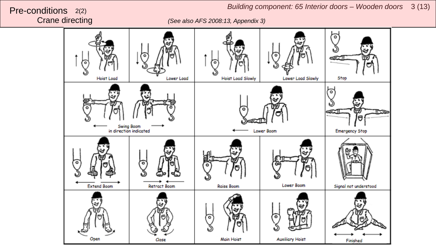*Building component: 65 Interior doors – Wooden doors*  <sup>3</sup> (13) Pre-conditions 2(2)

Crane directing *(See also AFS 2008:13, Appendix 3)*

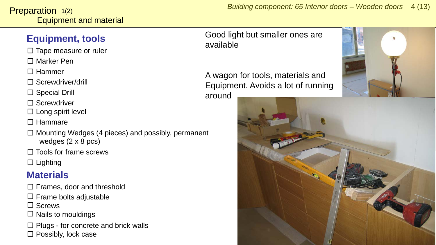#### <span id="page-3-0"></span>**Equipment, tools**

- □ Tape measure or ruler
- □ Marker Pen
- □ Hammer
- □ Screwdriver/drill
- □ Special Drill
- □ Screwdriver
- $\square$  Long spirit level
- □ Hammare
- $\square$  Mounting Wedges (4 pieces) and possibly, permanent wedges (2 x 8 pcs)
- □ Tools for frame screws
- $\square$  Lighting

### **Materials**

- □ Frames, door and threshold
- $\square$  Frame bolts adjustable
- □ Screws
- $\square$  Nails to mouldings
- □ Plugs for concrete and brick walls □ Possibly, lock case

*Building component: 65 Interior doors – Wooden doors 4 (13)* 

#### Good light but smaller ones are available

A wagon for tools, materials and Equipment. Avoids a lot of running around



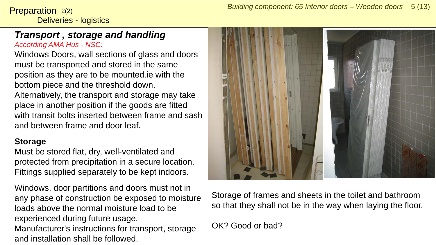Deliveries - logistics **Preparation**  $2(2)$ 

#### *Transport , storage and handling According AMA Hus - NSC:*

Windows Doors, wall sections of glass and doors must be transported and stored in the same position as they are to be mounted.ie with the bottom piece and the threshold down.

Alternatively, the transport and storage may take place in another position if the goods are fitted with transit bolts inserted between frame and sash and between frame and door leaf.

#### **Storage**

Must be stored flat, dry, well-ventilated and protected from precipitation in a secure location. Fittings supplied separately to be kept indoors.

Windows, door partitions and doors must not in any phase of construction be exposed to moisture loads above the normal moisture load to be experienced during future usage. Manufacturer's instructions for transport, storage and installation shall be followed.



Storage of frames and sheets in the toilet and bathroom so that they shall not be in the way when laying the floor.

#### OK? Good or bad?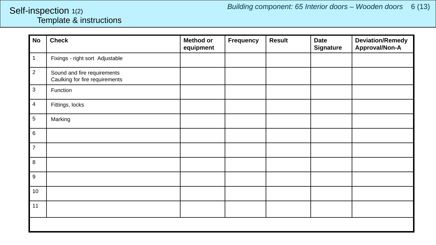#### <span id="page-5-0"></span>Template & instructions Self-inspection 1(2)

| <b>No</b>                 | <b>Check</b>                                                  | <b>Method or</b><br>equipment | <b>Frequency</b> | <b>Result</b> | <b>Date</b><br><b>Signature</b> | <b>Deviation/Remedy</b><br>Approval/Non-A |
|---------------------------|---------------------------------------------------------------|-------------------------------|------------------|---------------|---------------------------------|-------------------------------------------|
| $\vert$ 1                 | Fixings - right sort Adjustable                               |                               |                  |               |                                 |                                           |
| $\overline{c}$            | Sound and fire requirements<br>Caulking for fire requirements |                               |                  |               |                                 |                                           |
| $\ensuremath{\mathsf{3}}$ | Function                                                      |                               |                  |               |                                 |                                           |
| $\overline{\mathbf{4}}$   | Fittings, locks                                               |                               |                  |               |                                 |                                           |
| $\sqrt{5}$                | Marking                                                       |                               |                  |               |                                 |                                           |
| $\,6\,$                   |                                                               |                               |                  |               |                                 |                                           |
| $\overline{7}$            |                                                               |                               |                  |               |                                 |                                           |
| $\,8\,$                   |                                                               |                               |                  |               |                                 |                                           |
| $\boldsymbol{9}$          |                                                               |                               |                  |               |                                 |                                           |
| 10                        |                                                               |                               |                  |               |                                 |                                           |
| 11                        |                                                               |                               |                  |               |                                 |                                           |
|                           |                                                               |                               |                  |               |                                 |                                           |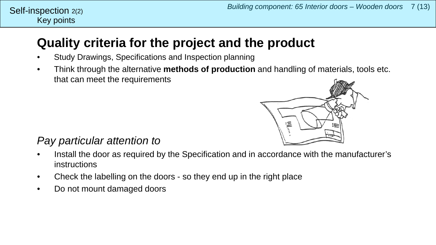### **Quality criteria for the project and the product**

- Study Drawings, Specifications and Inspection planning
- Think through the alternative **methods of production** and handling of materials, tools etc. that can meet the requirements



#### *Pay particular attention to*

Key points

Self-inspection  $2(2)$ 

- Install the door as required by the Specification and in accordance with the manufacturer's instructions
- Check the labelling on the doors so they end up in the right place
- Do not mount damaged doors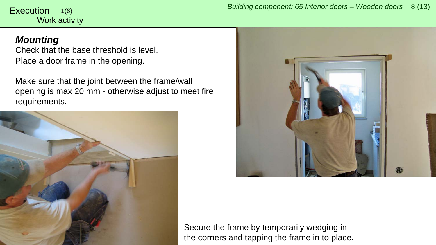<span id="page-7-0"></span>Work activity 1(6)

#### *Mounting*

Check that the base threshold is level. Place a door frame in the opening.

Make sure that the joint between the frame/wall opening is max 20 mm - otherwise adjust to meet fire requirements.





Secure the frame by temporarily wedging in the corners and tapping the frame in to place.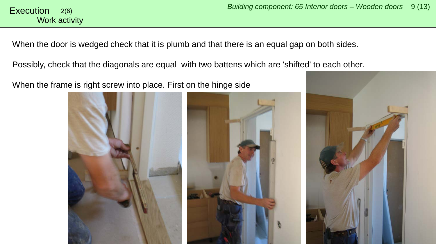When the door is wedged check that it is plumb and that there is an equal gap on both sides.

Possibly, check that the diagonals are equal with two battens which are 'shifted' to each other.

When the frame is right screw into place. First on the hinge side





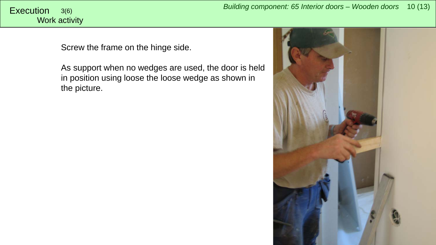## Work activity

Screw the frame on the hinge side.

As support when no wedges are used, the door is held in position using loose the loose wedge as shown in the picture.

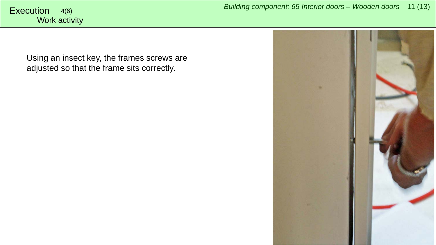Using an insect key, the frames screws are adjusted so that the frame sits correctly.

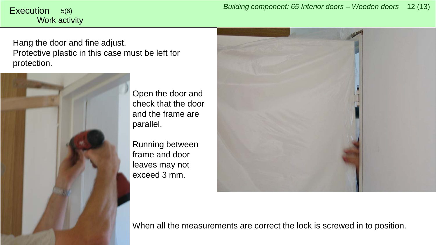# Work activity

Hang the door and fine adjust. Protective plastic in this case must be left for protection.



Open the door and check that the door and the frame are parallel.

Running between frame and door leaves may not exceed 3 mm.



When all the measurements are correct the lock is screwed in to position.